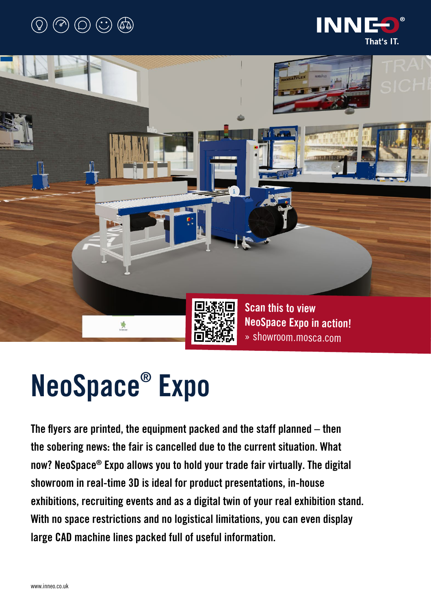# $(\mathbb{C})$   $(\mathbb{C})$   $(\mathbb{C})$





# NeoSpace® Expo

The flyers are printed, the equipment packed and the staff planned – then the sobering news: the fair is cancelled due to the current situation. What now? NeoSpace® Expo allows you to hold your trade fair virtually. The digital showroom in real-time 3D is ideal for product presentations, in-house exhibitions, recruiting events and as a digital twin of your real exhibition stand. With no space restrictions and no logistical limitations, you can even display large CAD machine lines packed full of useful information.